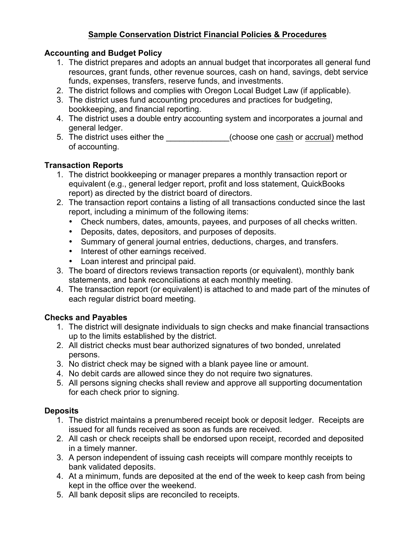# **Sample Conservation District Financial Policies & Procedures**

### **Accounting and Budget Policy**

- 1. The district prepares and adopts an annual budget that incorporates all general fund resources, grant funds, other revenue sources, cash on hand, savings, debt service funds, expenses, transfers, reserve funds, and investments.
- 2. The district follows and complies with Oregon Local Budget Law (if applicable).
- 3. The district uses fund accounting procedures and practices for budgeting, bookkeeping, and financial reporting.
- 4. The district uses a double entry accounting system and incorporates a journal and general ledger.
- 5. The district uses either the \_\_\_\_\_\_\_\_\_\_\_\_\_\_(choose one cash or accrual) method of accounting.

# **Transaction Reports**

- 1. The district bookkeeping or manager prepares a monthly transaction report or equivalent (e.g., general ledger report, profit and loss statement, QuickBooks report) as directed by the district board of directors.
- 2. The transaction report contains a listing of all transactions conducted since the last report, including a minimum of the following items:
	- Check numbers, dates, amounts, payees, and purposes of all checks written.
	- Deposits, dates, depositors, and purposes of deposits.
	- Summary of general journal entries, deductions, charges, and transfers.
	- Interest of other earnings received.
	- Loan interest and principal paid.
- 3. The board of directors reviews transaction reports (or equivalent), monthly bank statements, and bank reconciliations at each monthly meeting.
- 4. The transaction report (or equivalent) is attached to and made part of the minutes of each regular district board meeting.

# **Checks and Payables**

- 1. The district will designate individuals to sign checks and make financial transactions up to the limits established by the district.
- 2. All district checks must bear authorized signatures of two bonded, unrelated persons.
- 3. No district check may be signed with a blank payee line or amount.
- 4. No debit cards are allowed since they do not require two signatures.
- 5. All persons signing checks shall review and approve all supporting documentation for each check prior to signing.

# **Deposits**

- 1. The district maintains a prenumbered receipt book or deposit ledger. Receipts are issued for all funds received as soon as funds are received.
- 2. All cash or check receipts shall be endorsed upon receipt, recorded and deposited in a timely manner.
- 3. A person independent of issuing cash receipts will compare monthly receipts to bank validated deposits.
- 4. At a minimum, funds are deposited at the end of the week to keep cash from being kept in the office over the weekend.
- 5. All bank deposit slips are reconciled to receipts.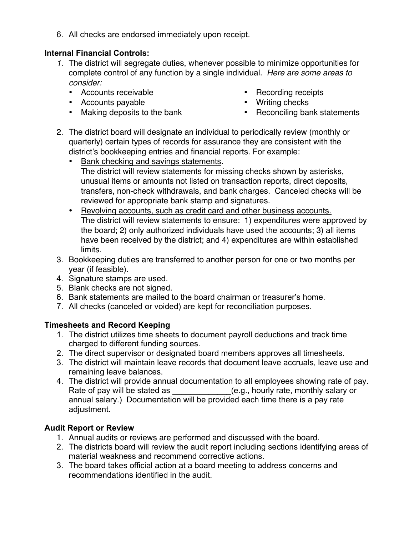6. All checks are endorsed immediately upon receipt.

### **Internal Financial Controls:**

- *1.* The district will segregate duties, whenever possible to minimize opportunities for complete control of any function by a single individual. *Here are some areas to consider:*
	- Accounts receivable
	- Accounts payable
	- Making deposits to the bank
- Recording receipts
- Writing checks
- Reconciling bank statements
- 2. The district board will designate an individual to periodically review (monthly or quarterly) certain types of records for assurance they are consistent with the district's bookkeeping entries and financial reports. For example:
	- Bank checking and savings statements. The district will review statements for missing checks shown by asterisks, unusual items or amounts not listed on transaction reports, direct deposits, transfers, non-check withdrawals, and bank charges. Canceled checks will be reviewed for appropriate bank stamp and signatures.
	- Revolving accounts, such as credit card and other business accounts. The district will review statements to ensure: 1) expenditures were approved by the board; 2) only authorized individuals have used the accounts; 3) all items have been received by the district; and 4) expenditures are within established limits.
- 3. Bookkeeping duties are transferred to another person for one or two months per year (if feasible).
- 4. Signature stamps are used.
- 5. Blank checks are not signed.
- 6. Bank statements are mailed to the board chairman or treasurer's home.
- 7. All checks (canceled or voided) are kept for reconciliation purposes.

### **Timesheets and Record Keeping**

- 1. The district utilizes time sheets to document payroll deductions and track time charged to different funding sources.
- 2. The direct supervisor or designated board members approves all timesheets.
- 3. The district will maintain leave records that document leave accruals, leave use and remaining leave balances.
- 4. The district will provide annual documentation to all employees showing rate of pay. Rate of pay will be stated as  $($ e.g., hourly rate, monthly salary orannual salary.)Documentation will be provided each time there is a pay rate adjustment.

# **Audit Report or Review**

- 1. Annual audits or reviews are performed and discussed with the board.
- 2. The districts board will review the audit report including sections identifying areas of material weakness and recommend corrective actions.
- 3. The board takes official action at a board meeting to address concerns and recommendations identified in the audit.